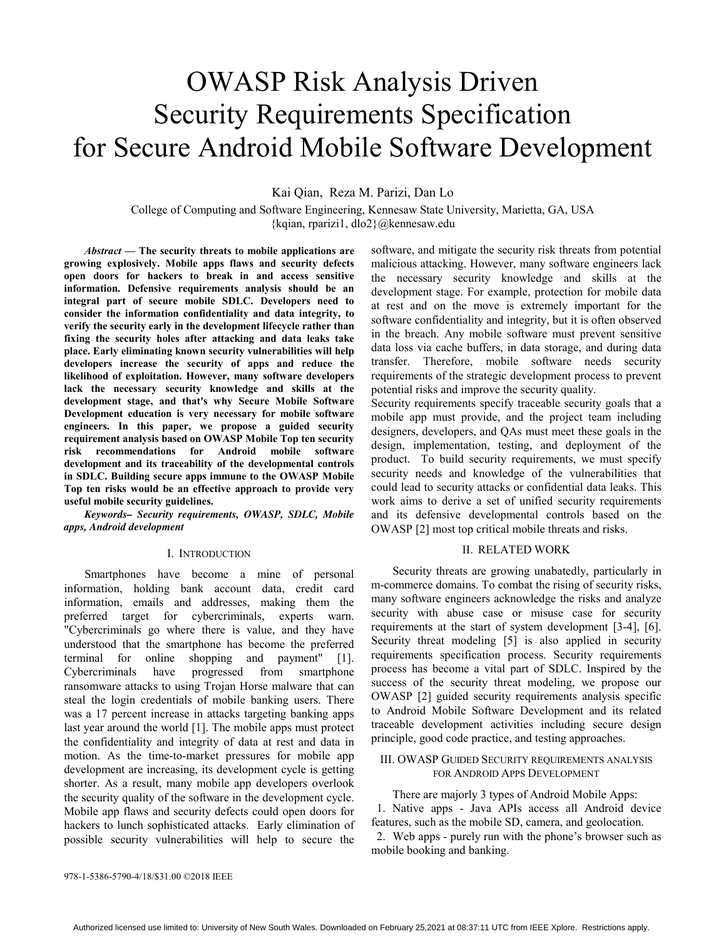# OWASP Risk Analysis Driven Security Requirements Specification for Secure Android Mobile Software Development

Kai Qian, Reza M. Parizi, Dan Lo

College of Computing and Software Engineering, Kennesaw State University, Marietta, GA, USA {kqian, rparizi1, dlo2}@kennesaw.edu

*Abstract* **— The security threats to mobile applications are growing explosively. Mobile apps flaws and security defects open doors for hackers to break in and access sensitive information. Defensive requirements analysis should be an integral part of secure mobile SDLC. Developers need to consider the information confidentiality and data integrity, to verify the security early in the development lifecycle rather than fixing the security holes after attacking and data leaks take place. Early eliminating known security vulnerabilities will help developers increase the security of apps and reduce the likelihood of exploitation. However, many software developers lack the necessary security knowledge and skills at the development stage, and that's why Secure Mobile Software Development education is very necessary for mobile software engineers. In this paper, we propose a guided security requirement analysis based on OWASP Mobile Top ten security risk recommendations for Android mobile software development and its traceability of the developmental controls in SDLC. Building secure apps immune to the OWASP Mobile Top ten risks would be an effective approach to provide very useful mobile security guidelines.** 

*Keywords– Security requirements, OWASP, SDLC, Mobile apps, Android development* 

#### I. INTRODUCTION

 Smartphones have become a mine of personal information, holding bank account data, credit card information, emails and addresses, making them the preferred target for cybercriminals, experts warn. "Cybercriminals go where there is value, and they have understood that the smartphone has become the preferred terminal for online shopping and payment" [1]. Cybercriminals have progressed from smartphone ransomware attacks to using Trojan Horse malware that can steal the login credentials of mobile banking users. There was a 17 percent increase in attacks targeting banking apps last year around the world [1]. The mobile apps must protect the confidentiality and integrity of data at rest and data in motion. As the time-to-market pressures for mobile app development are increasing, its development cycle is getting shorter. As a result, many mobile app developers overlook the security quality of the software in the development cycle. Mobile app flaws and security defects could open doors for hackers to lunch sophisticated attacks. Early elimination of possible security vulnerabilities will help to secure the software, and mitigate the security risk threats from potential malicious attacking. However, many software engineers lack the necessary security knowledge and skills at the development stage. For example, protection for mobile data at rest and on the move is extremely important for the software confidentiality and integrity, but it is often observed in the breach. Any mobile software must prevent sensitive data loss via cache buffers, in data storage, and during data transfer. Therefore, mobile software needs security requirements of the strategic development process to prevent potential risks and improve the security quality.

Security requirements specify traceable security goals that a mobile app must provide, and the project team including designers, developers, and QAs must meet these goals in the design, implementation, testing, and deployment of the product. To build security requirements, we must specify security needs and knowledge of the vulnerabilities that could lead to security attacks or confidential data leaks. This work aims to derive a set of unified security requirements and its defensive developmental controls based on the OWASP [2] most top critical mobile threats and risks.

## II. RELATED WORK

 Security threats are growing unabatedly, particularly in m-commerce domains. To combat the rising of security risks, many software engineers acknowledge the risks and analyze security with abuse case or misuse case for security requirements at the start of system development [3-4], [6]. Security threat modeling [5] is also applied in security requirements specification process. Security requirements process has become a vital part of SDLC. Inspired by the success of the security threat modeling, we propose our OWASP [2] guided security requirements analysis specific to Android Mobile Software Development and its related traceable development activities including secure design principle, good code practice, and testing approaches.

## III. OWASP GUIDED SECURITY REQUIREMENTS ANALYSIS FOR ANDROID APPS DEVELOPMENT

 There are majorly 3 types of Android Mobile Apps: 1. Native apps - Java APIs access all Android device features, such as the mobile SD, camera, and geolocation. 2. Web apps - purely run with the phone's browser such as mobile booking and banking.